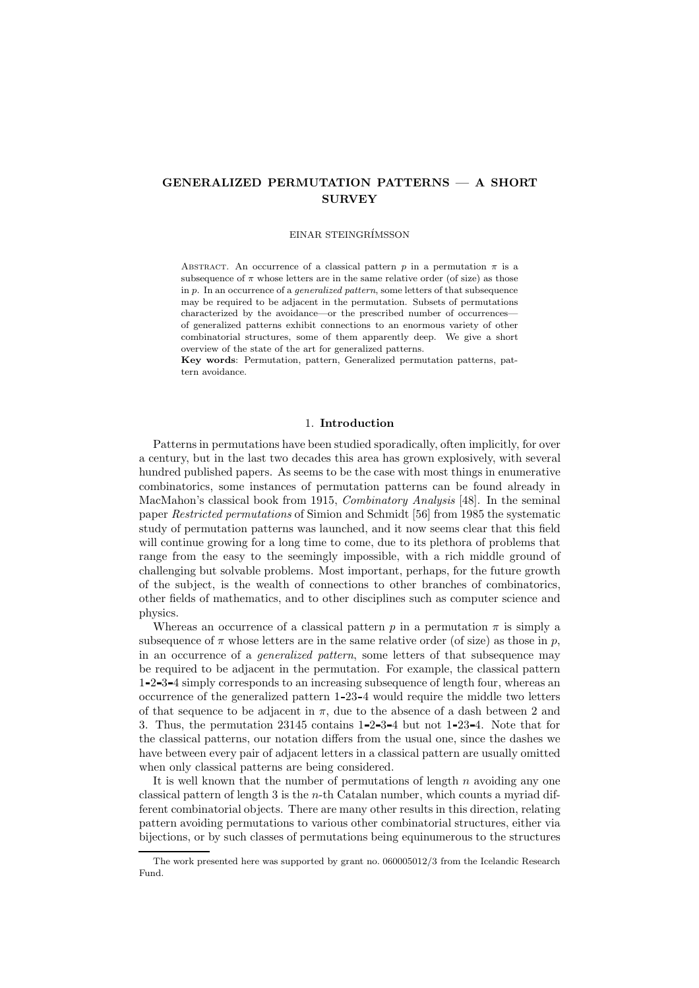# GENERALIZED PERMUTATION PATTERNS — A SHORT **SURVEY**

#### EINAR STEINGR´IMSSON

ABSTRACT. An occurrence of a classical pattern p in a permutation  $\pi$  is a subsequence of  $\pi$  whose letters are in the same relative order (of size) as those in p. In an occurrence of a generalized pattern, some letters of that subsequence may be required to be adjacent in the permutation. Subsets of permutations characterized by the avoidance—or the prescribed number of occurrences of generalized patterns exhibit connections to an enormous variety of other combinatorial structures, some of them apparently deep. We give a short overview of the state of the art for generalized patterns.

Key words: Permutation, pattern, Generalized permutation patterns, pattern avoidance.

#### 1. Introduction

Patterns in permutations have been studied sporadically, often implicitly, for over a century, but in the last two decades this area has grown explosively, with several hundred published papers. As seems to be the case with most things in enumerative combinatorics, some instances of permutation patterns can be found already in MacMahon's classical book from 1915, Combinatory Analysis [48]. In the seminal paper Restricted permutations of Simion and Schmidt [56] from 1985 the systematic study of permutation patterns was launched, and it now seems clear that this field will continue growing for a long time to come, due to its plethora of problems that range from the easy to the seemingly impossible, with a rich middle ground of challenging but solvable problems. Most important, perhaps, for the future growth of the subject, is the wealth of connections to other branches of combinatorics, other fields of mathematics, and to other disciplines such as computer science and physics.

Whereas an occurrence of a classical pattern  $p$  in a permutation  $\pi$  is simply a subsequence of  $\pi$  whose letters are in the same relative order (of size) as those in p, in an occurrence of a generalized pattern, some letters of that subsequence may be required to be adjacent in the permutation. For example, the classical pattern 1 2 3 4 simply corresponds to an increasing subsequence of length four, whereas an occurrence of the generalized pattern 1 23 4 would require the middle two letters of that sequence to be adjacent in  $\pi$ , due to the absence of a dash between 2 and 3. Thus, the permutation 23145 contains 1 2 3 4 but not 1 23 4. Note that for the classical patterns, our notation differs from the usual one, since the dashes we have between every pair of adjacent letters in a classical pattern are usually omitted when only classical patterns are being considered.

It is well known that the number of permutations of length  $n$  avoiding any one classical pattern of length 3 is the n-th Catalan number, which counts a myriad different combinatorial objects. There are many other results in this direction, relating pattern avoiding permutations to various other combinatorial structures, either via bijections, or by such classes of permutations being equinumerous to the structures

The work presented here was supported by grant no. 060005012/3 from the Icelandic Research Fund.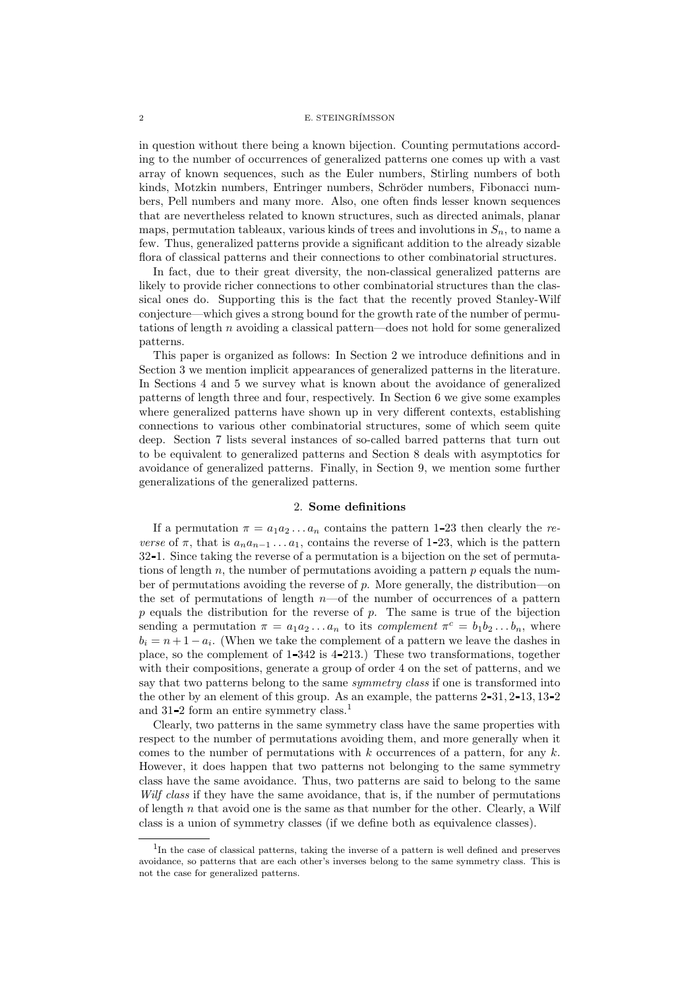in question without there being a known bijection. Counting permutations according to the number of occurrences of generalized patterns one comes up with a vast array of known sequences, such as the Euler numbers, Stirling numbers of both kinds, Motzkin numbers, Entringer numbers, Schröder numbers, Fibonacci numbers, Pell numbers and many more. Also, one often finds lesser known sequences that are nevertheless related to known structures, such as directed animals, planar maps, permutation tableaux, various kinds of trees and involutions in  $S_n$ , to name a few. Thus, generalized patterns provide a significant addition to the already sizable flora of classical patterns and their connections to other combinatorial structures.

In fact, due to their great diversity, the non-classical generalized patterns are likely to provide richer connections to other combinatorial structures than the classical ones do. Supporting this is the fact that the recently proved Stanley-Wilf conjecture—which gives a strong bound for the growth rate of the number of permutations of length n avoiding a classical pattern—does not hold for some generalized patterns.

This paper is organized as follows: In Section 2 we introduce definitions and in Section 3 we mention implicit appearances of generalized patterns in the literature. In Sections 4 and 5 we survey what is known about the avoidance of generalized patterns of length three and four, respectively. In Section 6 we give some examples where generalized patterns have shown up in very different contexts, establishing connections to various other combinatorial structures, some of which seem quite deep. Section 7 lists several instances of so-called barred patterns that turn out to be equivalent to generalized patterns and Section 8 deals with asymptotics for avoidance of generalized patterns. Finally, in Section 9, we mention some further generalizations of the generalized patterns.

## 2. Some definitions

If a permutation  $\pi = a_1 a_2 \dots a_n$  contains the pattern 1-23 then clearly the reverse of  $\pi$ , that is  $a_n a_{n-1} \ldots a_1$ , contains the reverse of 1-23, which is the pattern 32 1. Since taking the reverse of a permutation is a bijection on the set of permutations of length  $n$ , the number of permutations avoiding a pattern  $p$  equals the number of permutations avoiding the reverse of  $p$ . More generally, the distribution—on the set of permutations of length  $n$ —of the number of occurrences of a pattern  $p$  equals the distribution for the reverse of  $p$ . The same is true of the bijection sending a permutation  $\pi = a_1 a_2 ... a_n$  to its *complement*  $\pi^c = b_1 b_2 ... b_n$ , where  $b_i = n + 1 - a_i$ . (When we take the complement of a pattern we leave the dashes in place, so the complement of  $1-342$  is  $4-213$ .) These two transformations, together with their compositions, generate a group of order 4 on the set of patterns, and we say that two patterns belong to the same *symmetry class* if one is transformed into the other by an element of this group. As an example, the patterns  $2-31$ ,  $2-13$ ,  $13-2$ and 31-2 form an entire symmetry class.<sup>1</sup>

Clearly, two patterns in the same symmetry class have the same properties with respect to the number of permutations avoiding them, and more generally when it comes to the number of permutations with  $k$  occurrences of a pattern, for any  $k$ . However, it does happen that two patterns not belonging to the same symmetry class have the same avoidance. Thus, two patterns are said to belong to the same Wilf class if they have the same avoidance, that is, if the number of permutations of length  $n$  that avoid one is the same as that number for the other. Clearly, a Wilf class is a union of symmetry classes (if we define both as equivalence classes).

<sup>&</sup>lt;sup>1</sup>In the case of classical patterns, taking the inverse of a pattern is well defined and preserves avoidance, so patterns that are each other's inverses belong to the same symmetry class. This is not the case for generalized patterns.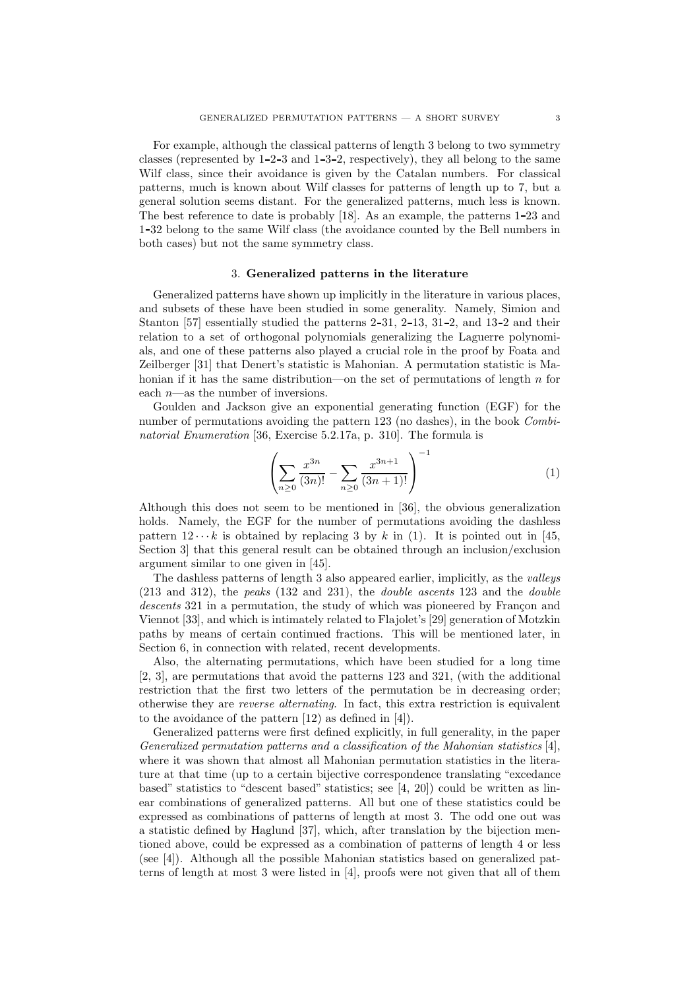For example, although the classical patterns of length 3 belong to two symmetry classes (represented by  $1-2-3$  and  $1-3-2$ , respectively), they all belong to the same Wilf class, since their avoidance is given by the Catalan numbers. For classical patterns, much is known about Wilf classes for patterns of length up to 7, but a general solution seems distant. For the generalized patterns, much less is known. The best reference to date is probably [18]. As an example, the patterns 1 23 and 1 32 belong to the same Wilf class (the avoidance counted by the Bell numbers in both cases) but not the same symmetry class.

#### 3. Generalized patterns in the literature

Generalized patterns have shown up implicitly in the literature in various places, and subsets of these have been studied in some generality. Namely, Simion and Stanton  $[57]$  essentially studied the patterns  $2-31$ ,  $2-13$ ,  $31-2$ , and  $13-2$  and their relation to a set of orthogonal polynomials generalizing the Laguerre polynomials, and one of these patterns also played a crucial role in the proof by Foata and Zeilberger [31] that Denert's statistic is Mahonian. A permutation statistic is Mahonian if it has the same distribution—on the set of permutations of length  $n$  for each  $n$ —as the number of inversions.

Goulden and Jackson give an exponential generating function (EGF) for the number of permutations avoiding the pattern 123 (no dashes), in the book *Combi*natorial Enumeration [36, Exercise 5.2.17a, p. 310]. The formula is

$$
\left(\sum_{n\geq 0} \frac{x^{3n}}{(3n)!} - \sum_{n\geq 0} \frac{x^{3n+1}}{(3n+1)!}\right)^{-1} \tag{1}
$$

Although this does not seem to be mentioned in [36], the obvious generalization holds. Namely, the EGF for the number of permutations avoiding the dashless pattern  $12 \cdots k$  is obtained by replacing 3 by k in (1). It is pointed out in [45, Section 3] that this general result can be obtained through an inclusion/exclusion argument similar to one given in [45].

The dashless patterns of length 3 also appeared earlier, implicitly, as the valleys  $(213 \text{ and } 312)$ , the *peaks*  $(132 \text{ and } 231)$ , the *double ascents* 123 and the *double* descents 321 in a permutation, the study of which was pioneered by Françon and Viennot [33], and which is intimately related to Flajolet's [29] generation of Motzkin paths by means of certain continued fractions. This will be mentioned later, in Section 6, in connection with related, recent developments.

Also, the alternating permutations, which have been studied for a long time [2, 3], are permutations that avoid the patterns 123 and 321, (with the additional restriction that the first two letters of the permutation be in decreasing order; otherwise they are reverse alternating. In fact, this extra restriction is equivalent to the avoidance of the pattern [12) as defined in [4]).

Generalized patterns were first defined explicitly, in full generality, in the paper Generalized permutation patterns and a classification of the Mahonian statistics  $[4]$ , where it was shown that almost all Mahonian permutation statistics in the literature at that time (up to a certain bijective correspondence translating "excedance based" statistics to "descent based" statistics; see [4, 20]) could be written as linear combinations of generalized patterns. All but one of these statistics could be expressed as combinations of patterns of length at most 3. The odd one out was a statistic defined by Haglund [37], which, after translation by the bijection mentioned above, could be expressed as a combination of patterns of length 4 or less (see [4]). Although all the possible Mahonian statistics based on generalized patterns of length at most 3 were listed in [4], proofs were not given that all of them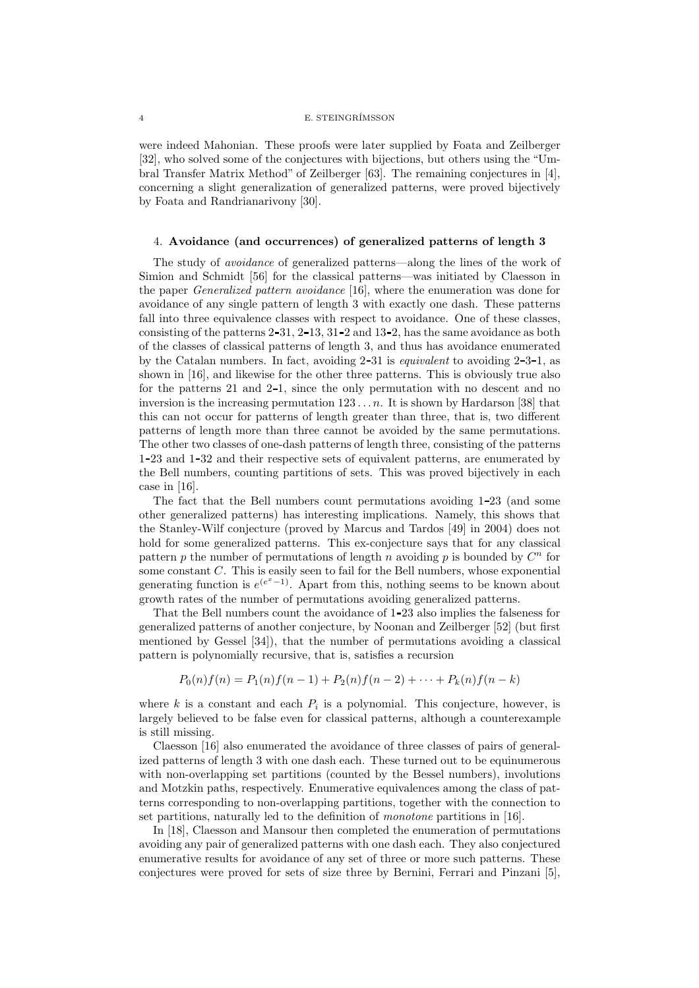were indeed Mahonian. These proofs were later supplied by Foata and Zeilberger [32], who solved some of the conjectures with bijections, but others using the "Umbral Transfer Matrix Method" of Zeilberger [63]. The remaining conjectures in [4], concerning a slight generalization of generalized patterns, were proved bijectively by Foata and Randrianarivony [30].

### 4. Avoidance (and occurrences) of generalized patterns of length 3

The study of avoidance of generalized patterns—along the lines of the work of Simion and Schmidt [56] for the classical patterns—was initiated by Claesson in the paper Generalized pattern avoidance [16], where the enumeration was done for avoidance of any single pattern of length 3 with exactly one dash. These patterns fall into three equivalence classes with respect to avoidance. One of these classes, consisting of the patterns  $2-31$ ,  $2-13$ ,  $31-2$  and  $13-2$ , has the same avoidance as both of the classes of classical patterns of length 3, and thus has avoidance enumerated by the Catalan numbers. In fact, avoiding  $2-31$  is *equivalent* to avoiding  $2-3-1$ , as shown in [16], and likewise for the other three patterns. This is obviously true also for the patterns 21 and 2-1, since the only permutation with no descent and no inversion is the increasing permutation  $123 \ldots n$ . It is shown by Hardarson [38] that this can not occur for patterns of length greater than three, that is, two different patterns of length more than three cannot be avoided by the same permutations. The other two classes of one-dash patterns of length three, consisting of the patterns 1 23 and 1 32 and their respective sets of equivalent patterns, are enumerated by the Bell numbers, counting partitions of sets. This was proved bijectively in each case in [16].

The fact that the Bell numbers count permutations avoiding 1 23 (and some other generalized patterns) has interesting implications. Namely, this shows that the Stanley-Wilf conjecture (proved by Marcus and Tardos [49] in 2004) does not hold for some generalized patterns. This ex-conjecture says that for any classical pattern p the number of permutations of length n avoiding p is bounded by  $C<sup>n</sup>$  for some constant C. This is easily seen to fail for the Bell numbers, whose exponential generating function is  $e^{(e^x-1)}$ . Apart from this, nothing seems to be known about growth rates of the number of permutations avoiding generalized patterns.

That the Bell numbers count the avoidance of 1 23 also implies the falseness for generalized patterns of another conjecture, by Noonan and Zeilberger [52] (but first mentioned by Gessel [34]), that the number of permutations avoiding a classical pattern is polynomially recursive, that is, satisfies a recursion

$$
P_0(n)f(n) = P_1(n)f(n-1) + P_2(n)f(n-2) + \cdots + P_k(n)f(n-k)
$$

where  $k$  is a constant and each  $P_i$  is a polynomial. This conjecture, however, is largely believed to be false even for classical patterns, although a counterexample is still missing.

Claesson [16] also enumerated the avoidance of three classes of pairs of generalized patterns of length 3 with one dash each. These turned out to be equinumerous with non-overlapping set partitions (counted by the Bessel numbers), involutions and Motzkin paths, respectively. Enumerative equivalences among the class of patterns corresponding to non-overlapping partitions, together with the connection to set partitions, naturally led to the definition of monotone partitions in [16].

In [18], Claesson and Mansour then completed the enumeration of permutations avoiding any pair of generalized patterns with one dash each. They also conjectured enumerative results for avoidance of any set of three or more such patterns. These conjectures were proved for sets of size three by Bernini, Ferrari and Pinzani [5],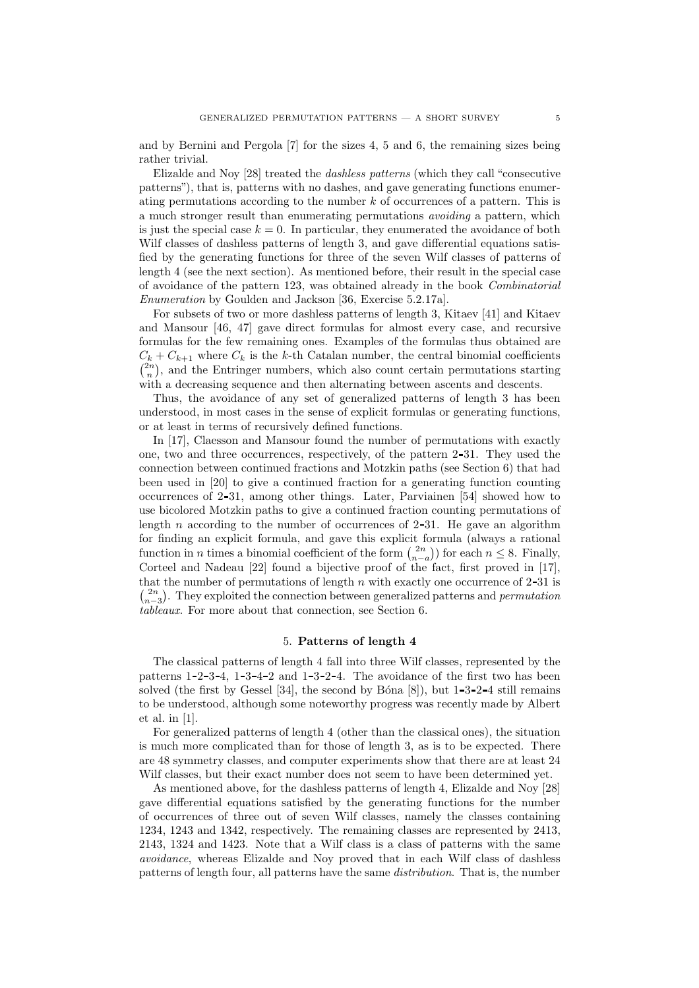and by Bernini and Pergola [7] for the sizes 4, 5 and 6, the remaining sizes being rather trivial.

Elizalde and Noy [28] treated the dashless patterns (which they call "consecutive patterns"), that is, patterns with no dashes, and gave generating functions enumerating permutations according to the number  $k$  of occurrences of a pattern. This is a much stronger result than enumerating permutations avoiding a pattern, which is just the special case  $k = 0$ . In particular, they enumerated the avoidance of both Wilf classes of dashless patterns of length 3, and gave differential equations satisfied by the generating functions for three of the seven Wilf classes of patterns of length 4 (see the next section). As mentioned before, their result in the special case of avoidance of the pattern 123, was obtained already in the book Combinatorial Enumeration by Goulden and Jackson [36, Exercise 5.2.17a].

For subsets of two or more dashless patterns of length 3, Kitaev [41] and Kitaev and Mansour [46, 47] gave direct formulas for almost every case, and recursive formulas for the few remaining ones. Examples of the formulas thus obtained are  $C_k + C_{k+1}$  where  $C_k$  is the k-th Catalan number, the central binomial coefficients  $\binom{2n}{n}$ , and the Entringer numbers, which also count certain permutations starting with a decreasing sequence and then alternating between ascents and descents.

Thus, the avoidance of any set of generalized patterns of length 3 has been understood, in most cases in the sense of explicit formulas or generating functions, or at least in terms of recursively defined functions.

In [17], Claesson and Mansour found the number of permutations with exactly one, two and three occurrences, respectively, of the pattern 2 31. They used the connection between continued fractions and Motzkin paths (see Section 6) that had been used in [20] to give a continued fraction for a generating function counting occurrences of 2 31, among other things. Later, Parviainen [54] showed how to use bicolored Motzkin paths to give a continued fraction counting permutations of length  $n$  according to the number of occurrences of 2-31. He gave an algorithm for finding an explicit formula, and gave this explicit formula (always a rational function in *n* times a binomial coefficient of the form  $\binom{2n}{n-a}$  for each  $n \leq 8$ . Finally, Corteel and Nadeau [22] found a bijective proof of the fact, first proved in [17], that the number of permutations of length  $n$  with exactly one occurrence of 2-31 is  $\binom{2n}{n-3}$ . They exploited the connection between generalized patterns and *permutation* tableaux. For more about that connection, see Section 6.

#### 5. Patterns of length 4

The classical patterns of length 4 fall into three Wilf classes, represented by the patterns  $1-2-3-4$ ,  $1-3-4-2$  and  $1-3-2-4$ . The avoidance of the first two has been solved (the first by Gessel [34], the second by Bóna [8]), but  $1-3-2-4$  still remains to be understood, although some noteworthy progress was recently made by Albert et al. in [1].

For generalized patterns of length 4 (other than the classical ones), the situation is much more complicated than for those of length 3, as is to be expected. There are 48 symmetry classes, and computer experiments show that there are at least 24 Wilf classes, but their exact number does not seem to have been determined yet.

As mentioned above, for the dashless patterns of length 4, Elizalde and Noy [28] gave differential equations satisfied by the generating functions for the number of occurrences of three out of seven Wilf classes, namely the classes containing 1234, 1243 and 1342, respectively. The remaining classes are represented by 2413, 2143, 1324 and 1423. Note that a Wilf class is a class of patterns with the same avoidance, whereas Elizalde and Noy proved that in each Wilf class of dashless patterns of length four, all patterns have the same distribution. That is, the number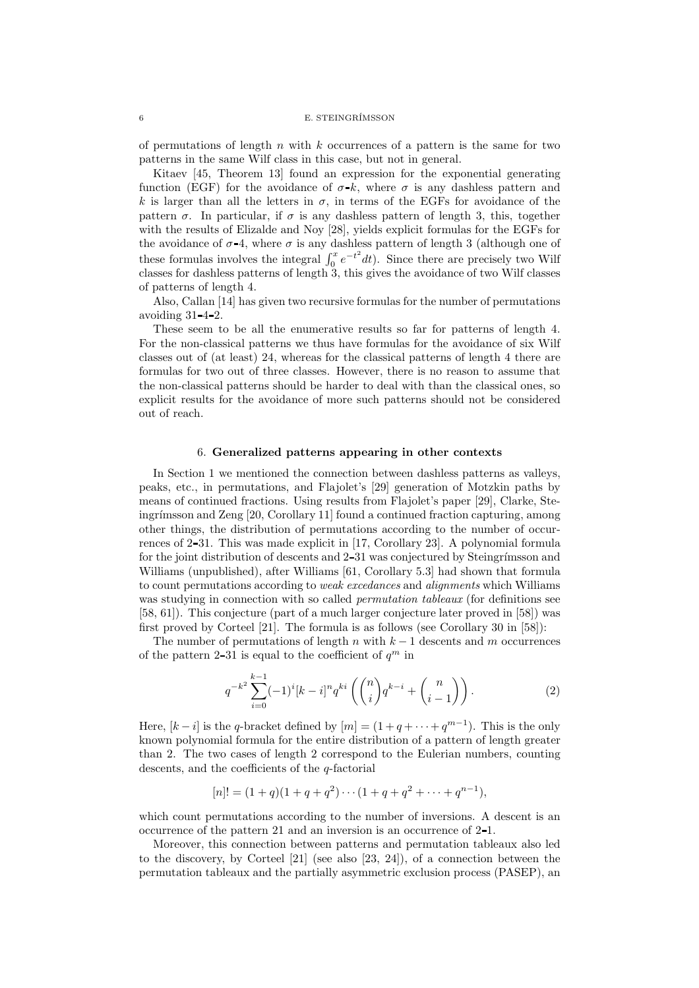of permutations of length  $n$  with  $k$  occurrences of a pattern is the same for two patterns in the same Wilf class in this case, but not in general.

Kitaev [45, Theorem 13] found an expression for the exponential generating function (EGF) for the avoidance of  $\sigma$ -k, where  $\sigma$  is any dashless pattern and k is larger than all the letters in  $\sigma$ , in terms of the EGFs for avoidance of the pattern  $\sigma$ . In particular, if  $\sigma$  is any dashless pattern of length 3, this, together with the results of Elizalde and Noy [28], yields explicit formulas for the EGFs for the avoidance of  $\sigma$ -4, where  $\sigma$  is any dashless pattern of length 3 (although one of these formulas involves the integral  $\int_0^x e^{-t^2} dt$ ). Since there are precisely two Wilf classes for dashless patterns of length 3, this gives the avoidance of two Wilf classes of patterns of length 4.

Also, Callan [14] has given two recursive formulas for the number of permutations avoiding  $31 - 4 - 2$ .

These seem to be all the enumerative results so far for patterns of length 4. For the non-classical patterns we thus have formulas for the avoidance of six Wilf classes out of (at least) 24, whereas for the classical patterns of length 4 there are formulas for two out of three classes. However, there is no reason to assume that the non-classical patterns should be harder to deal with than the classical ones, so explicit results for the avoidance of more such patterns should not be considered out of reach.

#### 6. Generalized patterns appearing in other contexts

In Section 1 we mentioned the connection between dashless patterns as valleys, peaks, etc., in permutations, and Flajolet's [29] generation of Motzkin paths by means of continued fractions. Using results from Flajolet's paper [29], Clarke, Steingrímsson and Zeng  $[20, Corollary 11]$  found a continued fraction capturing, among other things, the distribution of permutations according to the number of occurrences of 2 31. This was made explicit in [17, Corollary 23]. A polynomial formula for the joint distribution of descents and 2-31 was conjectured by Steingrímsson and Williams (unpublished), after Williams [61, Corollary 5.3] had shown that formula to count permutations according to weak excedances and alignments which Williams was studying in connection with so called *permutation tableaux* (for definitions see [58, 61]). This conjecture (part of a much larger conjecture later proved in [58]) was first proved by Corteel [21]. The formula is as follows (see Corollary 30 in [58]):

The number of permutations of length n with  $k-1$  descents and m occurrences of the pattern 2-31 is equal to the coefficient of  $q^m$  in

$$
q^{-k^2} \sum_{i=0}^{k-1} (-1)^i [k-i]^n q^{ki} \left( \binom{n}{i} q^{k-i} + \binom{n}{i-1} \right). \tag{2}
$$

Here,  $[k-i]$  is the q-bracket defined by  $[m] = (1 + q + \cdots + q^{m-1})$ . This is the only known polynomial formula for the entire distribution of a pattern of length greater than 2. The two cases of length 2 correspond to the Eulerian numbers, counting descents, and the coefficients of the q-factorial

$$
[n]! = (1+q)(1+q+q^2)\cdots(1+q+q^2+\cdots+q^{n-1}),
$$

which count permutations according to the number of inversions. A descent is an occurrence of the pattern 21 and an inversion is an occurrence of 2 1.

Moreover, this connection between patterns and permutation tableaux also led to the discovery, by Corteel [21] (see also [23, 24]), of a connection between the permutation tableaux and the partially asymmetric exclusion process (PASEP), an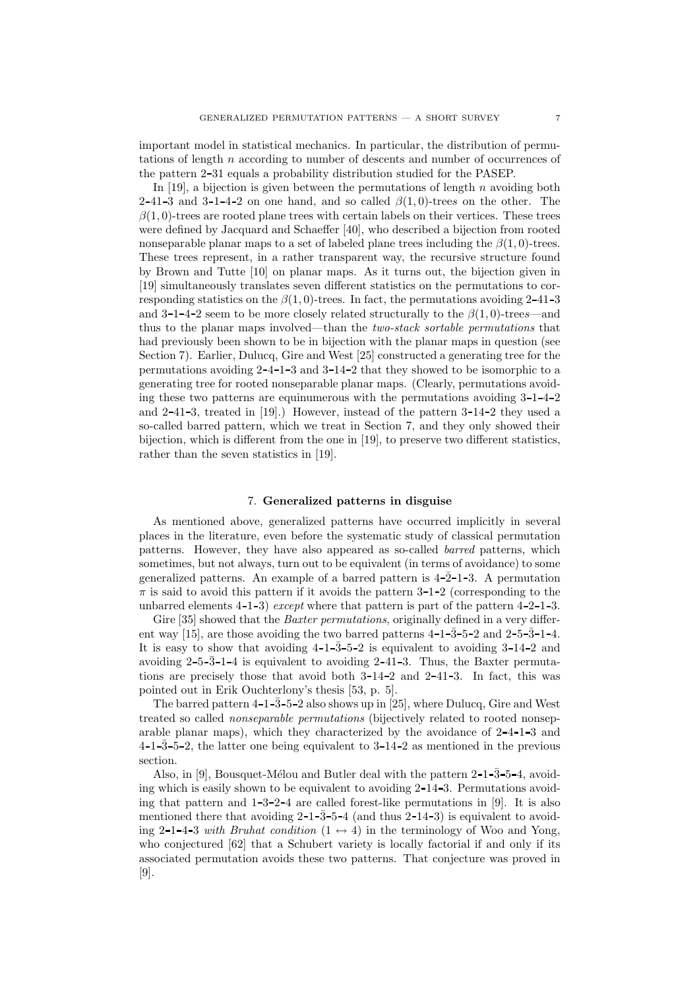important model in statistical mechanics. In particular, the distribution of permutations of length n according to number of descents and number of occurrences of the pattern 2 31 equals a probability distribution studied for the PASEP.

In [19], a bijection is given between the permutations of length  $n$  avoiding both 2-41-3 and 3-1-4-2 on one hand, and so called  $\beta(1,0)$ -trees on the other. The  $\beta(1,0)$ -trees are rooted plane trees with certain labels on their vertices. These trees were defined by Jacquard and Schaeffer [40], who described a bijection from rooted nonseparable planar maps to a set of labeled plane trees including the  $\beta(1,0)$ -trees. These trees represent, in a rather transparent way, the recursive structure found by Brown and Tutte [10] on planar maps. As it turns out, the bijection given in [19] simultaneously translates seven different statistics on the permutations to corresponding statistics on the  $\beta(1,0)$ -trees. In fact, the permutations avoiding 2-41-3 and 3-1-4-2 seem to be more closely related structurally to the  $\beta(1,0)$ -trees—and thus to the planar maps involved—than the two-stack sortable permutations that had previously been shown to be in bijection with the planar maps in question (see Section 7). Earlier, Dulucq, Gire and West [25] constructed a generating tree for the permutations avoiding 2 4 1 3 and 3 14 2 that they showed to be isomorphic to a generating tree for rooted nonseparable planar maps. (Clearly, permutations avoiding these two patterns are equinumerous with the permutations avoiding  $3\n-1\n-4\n-2$ and 2 41 3, treated in [19].) However, instead of the pattern 3 14 2 they used a so-called barred pattern, which we treat in Section 7, and they only showed their bijection, which is different from the one in [19], to preserve two different statistics, rather than the seven statistics in [19].

## 7. Generalized patterns in disguise

As mentioned above, generalized patterns have occurred implicitly in several places in the literature, even before the systematic study of classical permutation patterns. However, they have also appeared as so-called barred patterns, which sometimes, but not always, turn out to be equivalent (in terms of avoidance) to some generalized patterns. An example of a barred pattern is  $4-\overline{2}-1-3$ . A permutation  $\pi$  is said to avoid this pattern if it avoids the pattern 3-1-2 (corresponding to the unbarred elements  $4-1-3$ ) except where that pattern is part of the pattern  $4-2-1-3$ .

Gire [35] showed that the *Baxter permutations*, originally defined in a very different way [15], are those avoiding the two barred patterns  $4-1-3-5-2$  and  $2-5-3-1-4$ . It is easy to show that avoiding  $4-1-3-5-2$  is equivalent to avoiding  $3-14-2$  and avoiding  $2-5-3-1-4$  is equivalent to avoiding  $2-41-3$ . Thus, the Baxter permutations are precisely those that avoid both  $3-14-2$  and  $2-41-3$ . In fact, this was pointed out in Erik Ouchterlony's thesis [53, p. 5].

The barred pattern  $4$ -1- $\bar{3}$ -5-2 also shows up in [25], where Dulucq, Gire and West treated so called nonseparable permutations (bijectively related to rooted nonseparable planar maps), which they characterized by the avoidance of  $2-4-1-3$  and  $4$ -1-3-5-2, the latter one being equivalent to  $3$ -14-2 as mentioned in the previous section.

Also, in [9], Bousquet-Mélou and Butler deal with the pattern  $2-1-3-5-4$ , avoiding which is easily shown to be equivalent to avoiding 2 14 3. Permutations avoiding that pattern and  $1\text{-}3\text{-}2\text{-}4$  are called forest-like permutations in [9]. It is also mentioned there that avoiding  $2\n-1-\overline{3}-5-\overline{4}$  (and thus  $2-\overline{1}+\overline{3}$ ) is equivalent to avoiding 2-1-4-3 with Bruhat condition  $(1 \leftrightarrow 4)$  in the terminology of Woo and Yong, who conjectured [62] that a Schubert variety is locally factorial if and only if its associated permutation avoids these two patterns. That conjecture was proved in [9].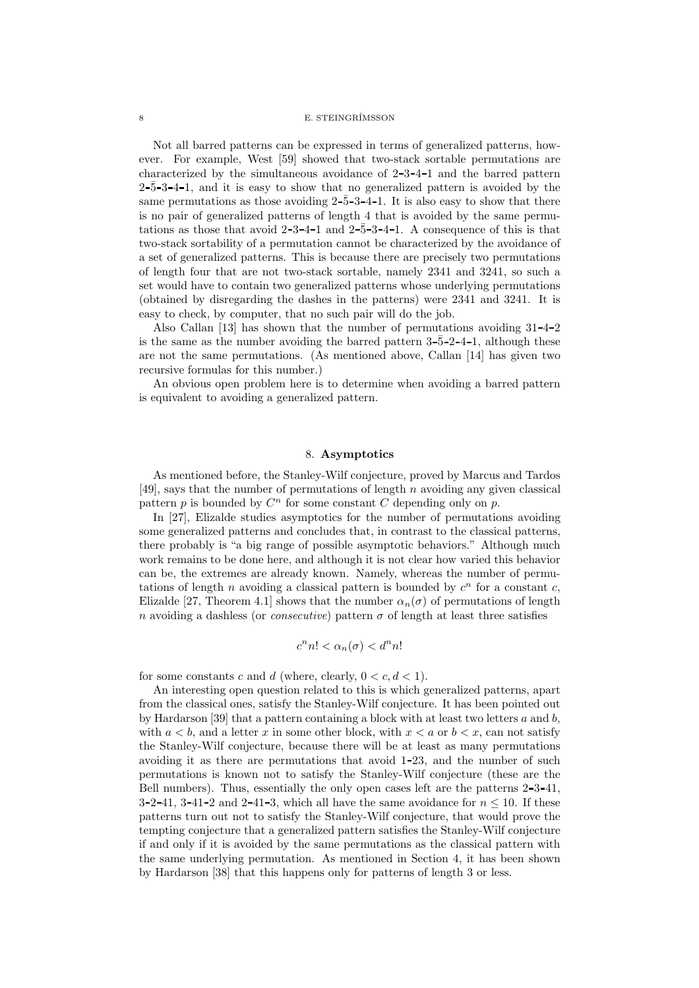Not all barred patterns can be expressed in terms of generalized patterns, however. For example, West [59] showed that two-stack sortable permutations are characterized by the simultaneous avoidance of 2 3 4 1 and the barred pattern  $2-\overline{5}-3-4-1$ , and it is easy to show that no generalized pattern is avoided by the same permutations as those avoiding  $2-\overline{5}-3-4-1$ . It is also easy to show that there is no pair of generalized patterns of length 4 that is avoided by the same permutations as those that avoid  $2-3-4-1$  and  $2-\overline{5}-3-4-1$ . A consequence of this is that two-stack sortability of a permutation cannot be characterized by the avoidance of a set of generalized patterns. This is because there are precisely two permutations of length four that are not two-stack sortable, namely 2341 and 3241, so such a set would have to contain two generalized patterns whose underlying permutations (obtained by disregarding the dashes in the patterns) were 2341 and 3241. It is easy to check, by computer, that no such pair will do the job.

Also Callan [13] has shown that the number of permutations avoiding  $31-4-2$ is the same as the number avoiding the barred pattern  $3-\overline{5}-2-4-1$ , although these are not the same permutations. (As mentioned above, Callan [14] has given two recursive formulas for this number.)

An obvious open problem here is to determine when avoiding a barred pattern is equivalent to avoiding a generalized pattern.

## 8. Asymptotics

As mentioned before, the Stanley-Wilf conjecture, proved by Marcus and Tardos [49], says that the number of permutations of length n avoiding any given classical pattern p is bounded by  $C^n$  for some constant C depending only on p.

In [27], Elizalde studies asymptotics for the number of permutations avoiding some generalized patterns and concludes that, in contrast to the classical patterns, there probably is "a big range of possible asymptotic behaviors." Although much work remains to be done here, and although it is not clear how varied this behavior can be, the extremes are already known. Namely, whereas the number of permutations of length n avoiding a classical pattern is bounded by  $c^n$  for a constant c, Elizalde [27, Theorem 4.1] shows that the number  $\alpha_n(\sigma)$  of permutations of length n avoiding a dashless (or *consecutive*) pattern  $\sigma$  of length at least three satisfies

$$
c^n n! < \alpha_n(\sigma) < d^n n!
$$

for some constants c and d (where, clearly,  $0 < c, d < 1$ ).

An interesting open question related to this is which generalized patterns, apart from the classical ones, satisfy the Stanley-Wilf conjecture. It has been pointed out by Hardarson [39] that a pattern containing a block with at least two letters  $a$  and  $b$ , with  $a < b$ , and a letter x in some other block, with  $x < a$  or  $b < x$ , can not satisfy the Stanley-Wilf conjecture, because there will be at least as many permutations avoiding it as there are permutations that avoid 1 23, and the number of such permutations is known not to satisfy the Stanley-Wilf conjecture (these are the Bell numbers). Thus, essentially the only open cases left are the patterns  $2-3-41$ ,  $3-2-41$ ,  $3-41-2$  and  $2-41-3$ , which all have the same avoidance for  $n \leq 10$ . If these patterns turn out not to satisfy the Stanley-Wilf conjecture, that would prove the tempting conjecture that a generalized pattern satisfies the Stanley-Wilf conjecture if and only if it is avoided by the same permutations as the classical pattern with the same underlying permutation. As mentioned in Section 4, it has been shown by Hardarson [38] that this happens only for patterns of length 3 or less.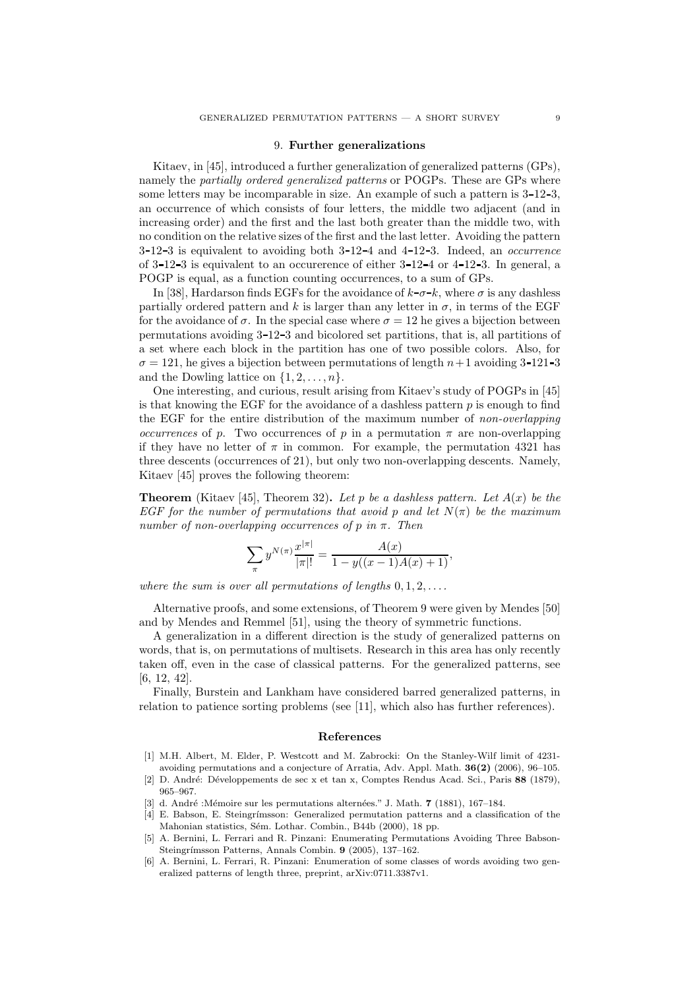#### 9. Further generalizations

Kitaev, in [45], introduced a further generalization of generalized patterns (GPs), namely the partially ordered generalized patterns or POGPs. These are GPs where some letters may be incomparable in size. An example of such a pattern is  $3-12-3$ . an occurrence of which consists of four letters, the middle two adjacent (and in increasing order) and the first and the last both greater than the middle two, with no condition on the relative sizes of the first and the last letter. Avoiding the pattern  $3-12-3$  is equivalent to avoiding both  $3-12-4$  and  $4-12-3$ . Indeed, an *occurrence* of  $3$ -12-3 is equivalent to an occurerence of either  $3$ -12-4 or  $4$ -12-3. In general, a POGP is equal, as a function counting occurrences, to a sum of GPs.

In [38], Hardarson finds EGFs for the avoidance of  $k-\sigma-k$ , where  $\sigma$  is any dashless partially ordered pattern and k is larger than any letter in  $\sigma$ , in terms of the EGF for the avoidance of  $\sigma$ . In the special case where  $\sigma = 12$  he gives a bijection between permutations avoiding 3 12 3 and bicolored set partitions, that is, all partitions of a set where each block in the partition has one of two possible colors. Also, for  $\sigma = 121$ , he gives a bijection between permutations of length  $n+1$  avoiding 3-121-3 and the Dowling lattice on  $\{1, 2, \ldots, n\}.$ 

One interesting, and curious, result arising from Kitaev's study of POGPs in [45] is that knowing the EGF for the avoidance of a dashless pattern  $p$  is enough to find the EGF for the entire distribution of the maximum number of non-overlapping *occurrences* of p. Two occurrences of p in a permutation  $\pi$  are non-overlapping if they have no letter of  $\pi$  in common. For example, the permutation 4321 has three descents (occurrences of 21), but only two non-overlapping descents. Namely, Kitaev [45] proves the following theorem:

**Theorem** (Kitaev [45], Theorem 32). Let p be a dashless pattern. Let  $A(x)$  be the EGF for the number of permutations that avoid p and let  $N(\pi)$  be the maximum number of non-overlapping occurrences of p in  $\pi$ . Then

$$
\sum_{\pi} y^{N(\pi)} \frac{x^{|\pi|}}{|\pi|!} = \frac{A(x)}{1 - y((x - 1)A(x) + 1)},
$$

where the sum is over all permutations of lengths  $0, 1, 2, \ldots$ .

Alternative proofs, and some extensions, of Theorem 9 were given by Mendes [50] and by Mendes and Remmel [51], using the theory of symmetric functions.

A generalization in a different direction is the study of generalized patterns on words, that is, on permutations of multisets. Research in this area has only recently taken off, even in the case of classical patterns. For the generalized patterns, see [6, 12, 42].

Finally, Burstein and Lankham have considered barred generalized patterns, in relation to patience sorting problems (see [11], which also has further references).

#### References

- [1] M.H. Albert, M. Elder, P. Westcott and M. Zabrocki: On the Stanley-Wilf limit of 4231 avoiding permutations and a conjecture of Arratia, Adv. Appl. Math. 36(2) (2006), 96–105.
- [2] D. André: Développements de sec x et tan x, Comptes Rendus Acad. Sci., Paris 88 (1879), 965–967.
- [3] d. André :Mémoire sur les permutations alternées." J. Math.  $7$  (1881), 167–184.
- [4] E. Babson, E. Steingrímsson: Generalized permutation patterns and a classification of the Mahonian statistics, Sém. Lothar. Combin., B44b (2000), 18 pp.
- [5] A. Bernini, L. Ferrari and R. Pinzani: Enumerating Permutations Avoiding Three Babson-Steingrímsson Patterns, Annals Combin. 9 (2005), 137-162.
- [6] A. Bernini, L. Ferrari, R. Pinzani: Enumeration of some classes of words avoiding two generalized patterns of length three, preprint, arXiv:0711.3387v1.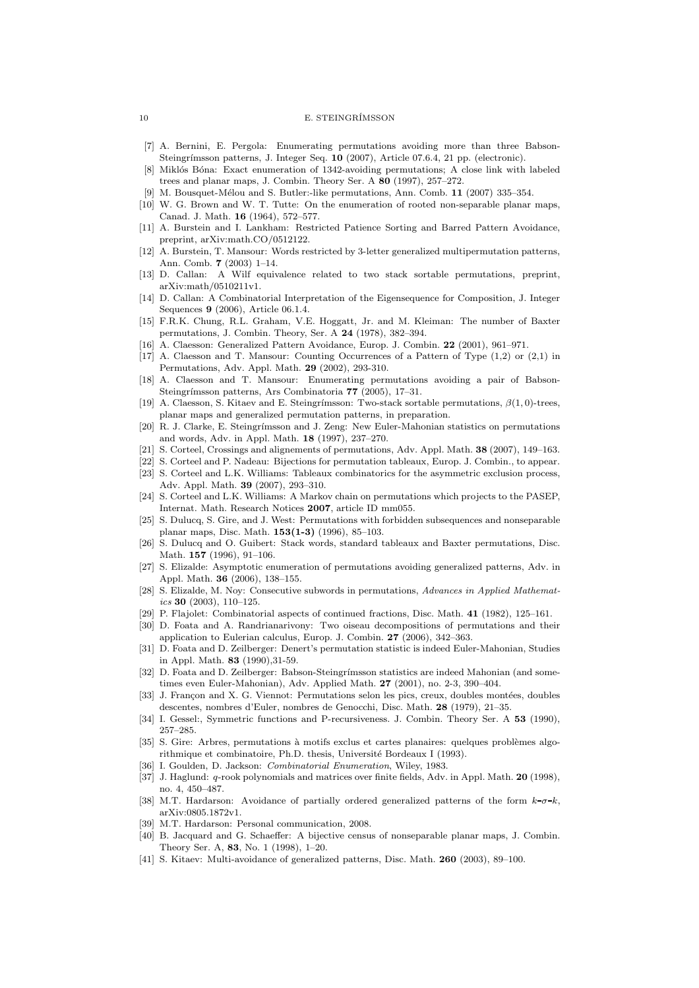- [7] A. Bernini, E. Pergola: Enumerating permutations avoiding more than three Babson-Steingrímsson patterns, J. Integer Seq. 10 (2007), Article 07.6.4, 21 pp. (electronic).
- [8] Miklós Bóna: Exact enumeration of 1342-avoiding permutations; A close link with labeled trees and planar maps, J. Combin. Theory Ser. A 80 (1997), 257–272.
- [9] M. Bousquet-Mélou and S. Butler:-like permutations, Ann. Comb. 11 (2007) 335–354.
- [10] W. G. Brown and W. T. Tutte: On the enumeration of rooted non-separable planar maps, Canad. J. Math. 16 (1964), 572–577.
- [11] A. Burstein and I. Lankham: Restricted Patience Sorting and Barred Pattern Avoidance, preprint, arXiv:math.CO/0512122.
- [12] A. Burstein, T. Mansour: Words restricted by 3-letter generalized multipermutation patterns, Ann. Comb. 7 (2003) 1–14.
- [13] D. Callan: A Wilf equivalence related to two stack sortable permutations, preprint, arXiv:math/0510211v1.
- [14] D. Callan: A Combinatorial Interpretation of the Eigensequence for Composition, J. Integer Sequences 9 (2006), Article 06.1.4.
- [15] F.R.K. Chung, R.L. Graham, V.E. Hoggatt, Jr. and M. Kleiman: The number of Baxter permutations, J. Combin. Theory, Ser. A 24 (1978), 382–394.
- [16] A. Claesson: Generalized Pattern Avoidance, Europ. J. Combin. 22 (2001), 961–971.
- [17] A. Claesson and T. Mansour: Counting Occurrences of a Pattern of Type (1,2) or (2,1) in Permutations, Adv. Appl. Math. 29 (2002), 293-310.
- [18] A. Claesson and T. Mansour: Enumerating permutations avoiding a pair of Babson-Steingrímsson patterns, Ars Combinatoria 77 (2005), 17-31.
- [19] A. Claesson, S. Kitaev and E. Steingrímsson: Two-stack sortable permutations,  $\beta(1,0)$ -trees, planar maps and generalized permutation patterns, in preparation.
- [20] R. J. Clarke, E. Steingrímsson and J. Zeng: New Euler-Mahonian statistics on permutations and words, Adv. in Appl. Math. 18 (1997), 237–270.
- [21] S. Corteel, Crossings and alignements of permutations, Adv. Appl. Math. 38 (2007), 149–163.
- [22] S. Corteel and P. Nadeau: Bijections for permutation tableaux, Europ. J. Combin., to appear. [23] S. Corteel and L.K. Williams: Tableaux combinatorics for the asymmetric exclusion process, Adv. Appl. Math. 39 (2007), 293–310.
- [24] S. Corteel and L.K. Williams: A Markov chain on permutations which projects to the PASEP, Internat. Math. Research Notices 2007, article ID mm055.
- [25] S. Dulucq, S. Gire, and J. West: Permutations with forbidden subsequences and nonseparable planar maps, Disc. Math. 153(1-3) (1996), 85–103.
- [26] S. Dulucq and O. Guibert: Stack words, standard tableaux and Baxter permutations, Disc. Math. **157** (1996), 91-106.
- [27] S. Elizalde: Asymptotic enumeration of permutations avoiding generalized patterns, Adv. in Appl. Math. **36** (2006), 138-155.
- [28] S. Elizalde, M. Noy: Consecutive subwords in permutations, Advances in Applied Mathemat $ics 30 (2003), 110-125.$
- [29] P. Flajolet: Combinatorial aspects of continued fractions, Disc. Math. 41 (1982), 125–161.
- [30] D. Foata and A. Randrianarivony: Two oiseau decompositions of permutations and their application to Eulerian calculus, Europ. J. Combin. 27 (2006), 342–363.
- [31] D. Foata and D. Zeilberger: Denert's permutation statistic is indeed Euler-Mahonian, Studies in Appl. Math. 83 (1990),31-59.
- [32] D. Foata and D. Zeilberger: Babson-Steingrímsson statistics are indeed Mahonian (and sometimes even Euler-Mahonian), Adv. Applied Math. 27 (2001), no. 2-3, 390–404.
- [33] J. Françon and X. G. Viennot: Permutations selon les pics, creux, doubles montées, doubles descentes, nombres d'Euler, nombres de Genocchi, Disc. Math. 28 (1979), 21–35.
- [34] I. Gessel:, Symmetric functions and P-recursiveness. J. Combin. Theory Ser. A 53 (1990), 257–285.
- [35] S. Gire: Arbres, permutations à motifs exclus et cartes planaires: quelques problèmes algorithmique et combinatoire, Ph.D. thesis, Université Bordeaux I (1993).
- [36] I. Goulden, D. Jackson: *Combinatorial Enumeration*, Wiley, 1983.
- [37] J. Haglund: q-rook polynomials and matrices over finite fields, Adv. in Appl. Math. 20 (1998), no. 4, 450–487.
- [38] M.T. Hardarson: Avoidance of partially ordered generalized patterns of the form  $k-\sigma-k$ , arXiv:0805.1872v1.
- [39] M.T. Hardarson: Personal communication, 2008.
- [40] B. Jacquard and G. Schaeffer: A bijective census of nonseparable planar maps, J. Combin. Theory Ser. A, 83, No. 1 (1998), 1–20.
- [41] S. Kitaev: Multi-avoidance of generalized patterns, Disc. Math. 260 (2003), 89–100.